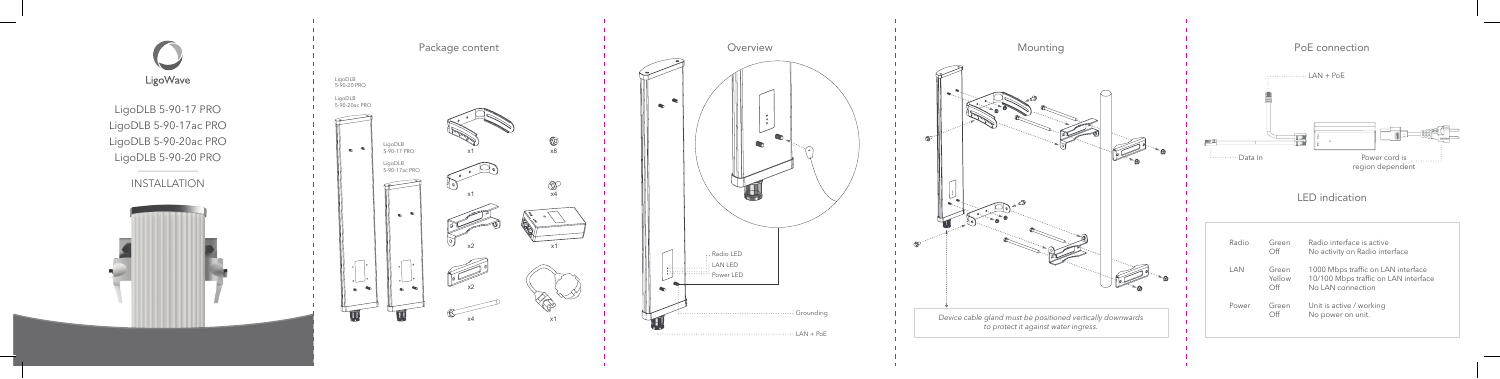